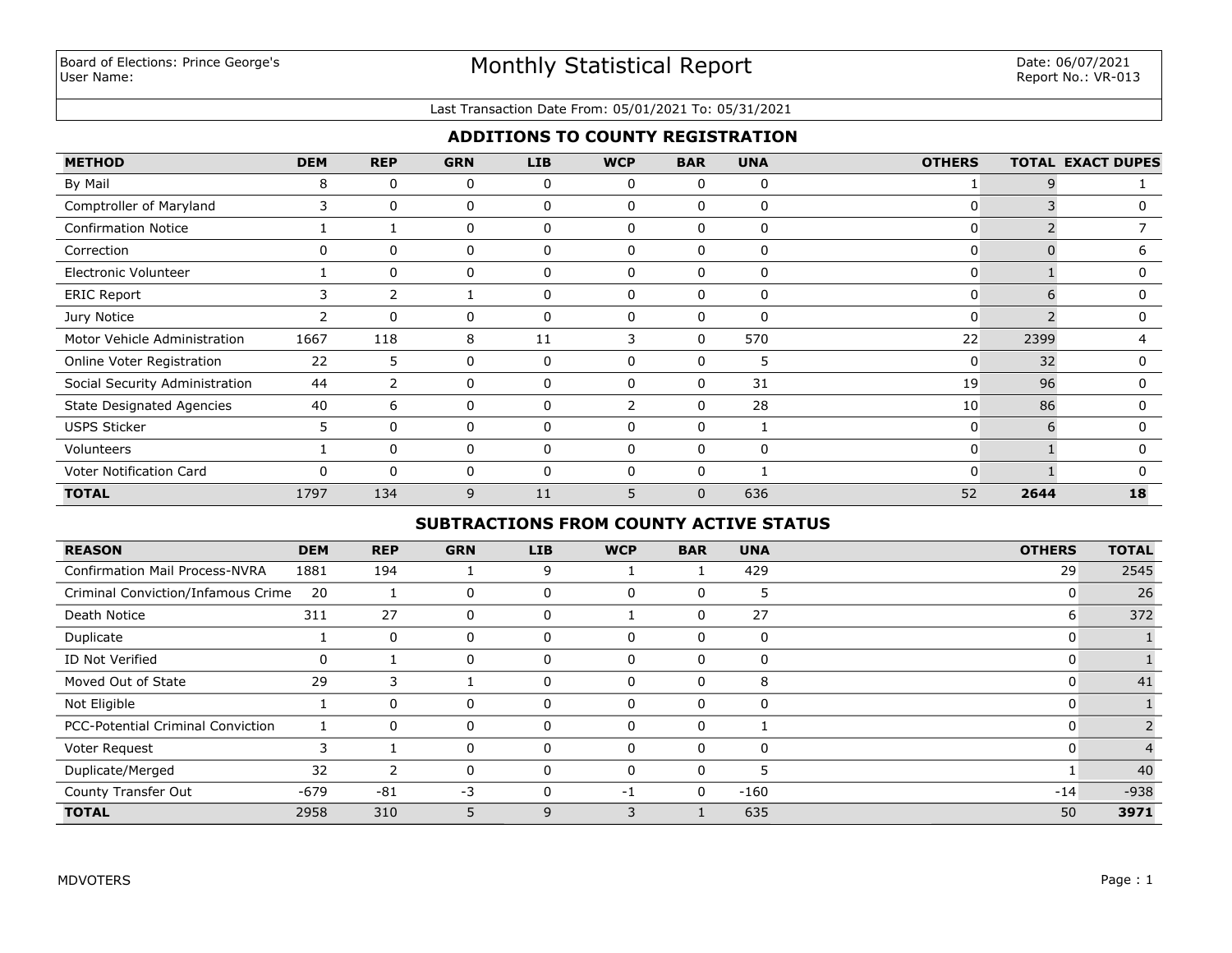#### Last Transaction Date From: 05/01/2021 To: 05/31/2021

## **ADDITIONS TO COUNTY REGISTRATION**

| <b>METHOD</b>                    | <b>DEM</b> | <b>REP</b>     | <b>GRN</b> | <b>LIB</b>   | <b>WCP</b>   | <b>BAR</b>   | <b>UNA</b> | <b>OTHERS</b> |      | <b>TOTAL EXACT DUPES</b> |
|----------------------------------|------------|----------------|------------|--------------|--------------|--------------|------------|---------------|------|--------------------------|
| By Mail                          | 8          | $\Omega$       | 0          | 0            | $\Omega$     | 0            | 0          |               |      |                          |
| Comptroller of Maryland          | 3          | $\mathbf{0}$   | 0          | 0            | 0            | 0            | 0          | 0             |      | $\Omega$                 |
| <b>Confirmation Notice</b>       |            |                | 0          | 0            | $\Omega$     | 0            | 0          | 0             |      |                          |
| Correction                       | $\Omega$   | $\Omega$       | 0          | $\Omega$     | O            | $\Omega$     | 0          | 0             |      | h                        |
| <b>Electronic Volunteer</b>      |            | $\Omega$       | 0          | 0            | $\mathbf{0}$ | 0            | 0          | $\mathbf{0}$  |      | 0                        |
| <b>ERIC Report</b>               | 3          | 2              |            | 0            | 0            | 0            | 0          | 0             | 6    | 0                        |
| Jury Notice                      | 2          | $\Omega$       | 0          | 0            | $\Omega$     | 0            | 0          | 0             |      | 0                        |
| Motor Vehicle Administration     | 1667       | 118            | 8          | 11           | 3            | 0            | 570        | 22            | 2399 |                          |
| Online Voter Registration        | 22         | 5              | 0          | 0            | O            | $\Omega$     | 5.         | 0             | 32   | 0                        |
| Social Security Administration   | 44         | $\overline{2}$ | 0          | $\Omega$     | $\Omega$     | 0            | 31         | 19            | 96   | 0                        |
| <b>State Designated Agencies</b> | 40         | 6              | 0          | 0            | 2            | 0            | 28         | 10            | 86   | 0                        |
| <b>USPS Sticker</b>              | 5          | $\Omega$       | 0          | $\mathbf{0}$ | 0            | 0            | 1          | 0             | 6    | $\Omega$                 |
| Volunteers                       |            | $\Omega$       | 0          | 0            | 0            | 0            | 0          | 0             |      | 0                        |
| Voter Notification Card          |            | $\Omega$       | 0          | 0            |              | 0            |            | 0             |      |                          |
| <b>TOTAL</b>                     | 1797       | 134            | 9          | 11           | 5            | $\mathbf{0}$ | 636        | 52            | 2644 | 18                       |

# **SUBTRACTIONS FROM COUNTY ACTIVE STATUS**

| <b>REASON</b>                            | <b>DEM</b> | <b>REP</b> | <b>GRN</b> | <b>LIB</b> | <b>WCP</b> | <b>BAR</b> | <b>UNA</b> | <b>OTHERS</b> | <b>TOTAL</b> |
|------------------------------------------|------------|------------|------------|------------|------------|------------|------------|---------------|--------------|
| <b>Confirmation Mail Process-NVRA</b>    | 1881       | 194        |            | 9          |            |            | 429        | 29            | 2545         |
| Criminal Conviction/Infamous Crime       | 20         |            | 0          |            | 0          | 0          | 5          | C             | 26           |
| Death Notice                             | 311        | 27         | 0          | $\Omega$   |            | 0          | 27         | b             | 372          |
| Duplicate                                |            | 0          | 0          | 0          | $\Omega$   | 0          | 0          |               |              |
| ID Not Verified                          | 0          |            | 0          | 0          | $\Omega$   | 0          | 0          |               |              |
| Moved Out of State                       | 29         | 3          |            | $\Omega$   | $\Omega$   | $\Omega$   | 8          |               | 41           |
| Not Eligible                             |            | 0          | 0          | $\Omega$   | $\Omega$   | 0          | 0          |               |              |
| <b>PCC-Potential Criminal Conviction</b> |            | 0          | 0          | 0          | $\Omega$   | 0          |            |               |              |
| Voter Request                            |            |            | 0          | 0          | $\Omega$   | 0          | 0          | C             |              |
| Duplicate/Merged                         | 32         | 2          | 0          |            | $\Omega$   | 0          | 5          |               | 40           |
| County Transfer Out                      | $-679$     | $-81$      | $-3$       |            | -1         | 0          | $-160$     | $-14$         | $-938$       |
| <b>TOTAL</b>                             | 2958       | 310        |            | 9          | 3          |            | 635        | 50            | 3971         |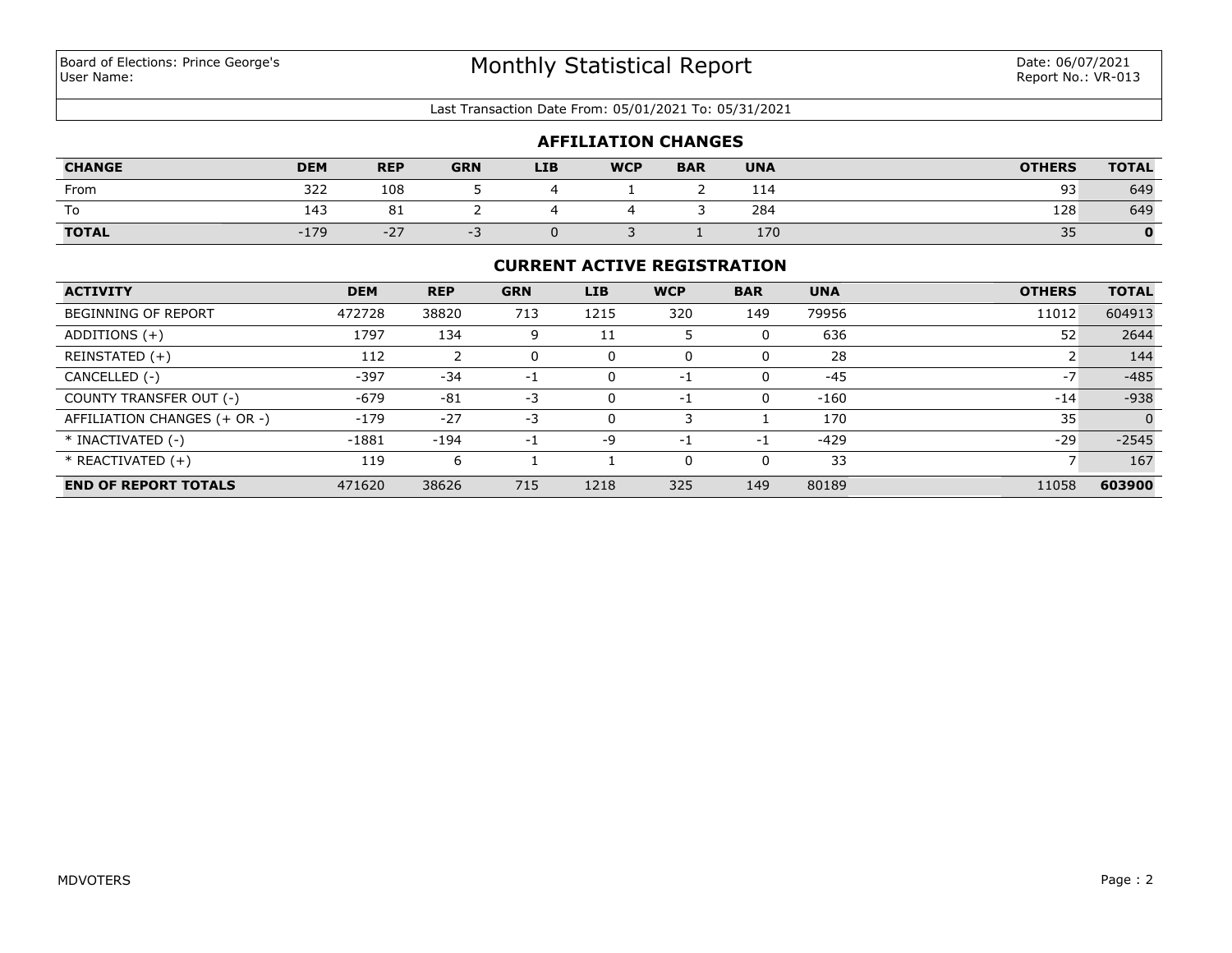#### Last Transaction Date From: 05/01/2021 To: 05/31/2021

|               |            |            |            |            | <b>AFFILIATION CHANGES</b> |            |            |               |              |
|---------------|------------|------------|------------|------------|----------------------------|------------|------------|---------------|--------------|
| <b>CHANGE</b> | <b>DEM</b> | <b>REP</b> | <b>GRN</b> | <b>LIB</b> | <b>WCP</b>                 | <b>BAR</b> | <b>UNA</b> | <b>OTHERS</b> | <b>TOTAL</b> |
| From          | 322        | 108        |            |            |                            |            | 114        | 93            | 649          |
| To            | 143        | 81         |            |            |                            |            | 284        | 128           | 649          |
| <b>TOTAL</b>  | $-179$     | $-27$      | $-1$       |            |                            |            | 170        | 35            |              |

### **CURRENT ACTIVE REGISTRATION**

| <b>ACTIVITY</b>              | <b>DEM</b> | <b>REP</b> | <b>GRN</b> | <b>LIB</b> | <b>WCP</b> | <b>BAR</b> | <b>UNA</b> | <b>OTHERS</b> | <b>TOTAL</b>   |
|------------------------------|------------|------------|------------|------------|------------|------------|------------|---------------|----------------|
| <b>BEGINNING OF REPORT</b>   | 472728     | 38820      | 713        | 1215       | 320        | 149        | 79956      | 11012         | 604913         |
| ADDITIONS $(+)$              | 1797       | 134        | 9          | 11         |            | 0          | 636        | 52            | 2644           |
| REINSTATED (+)               | 112        |            | 0          |            | 0          |            | 28         |               | 144            |
| CANCELLED (-)                | -397       | $-34$      | $-1$       |            | -1         | 0          | $-45$      | $-7$          | $-485$         |
| COUNTY TRANSFER OUT (-)      | $-679$     | $-81$      | $-3$       | 0          | -1         | 0          | $-160$     | $-14$         | $-938$         |
| AFFILIATION CHANGES (+ OR -) | $-179$     | $-27$      | -3         |            |            |            | 170        | 35            | $\overline{0}$ |
| * INACTIVATED (-)            | $-1881$    | $-194$     | $-1$       | -9         | $-1$       | -1         | $-429$     | $-29$         | $-2545$        |
| $*$ REACTIVATED $(+)$        | 119        | 6          |            |            | $\Omega$   | 0          | 33         |               | 167            |
| <b>END OF REPORT TOTALS</b>  | 471620     | 38626      | 715        | 1218       | 325        | 149        | 80189      | 11058         | 603900         |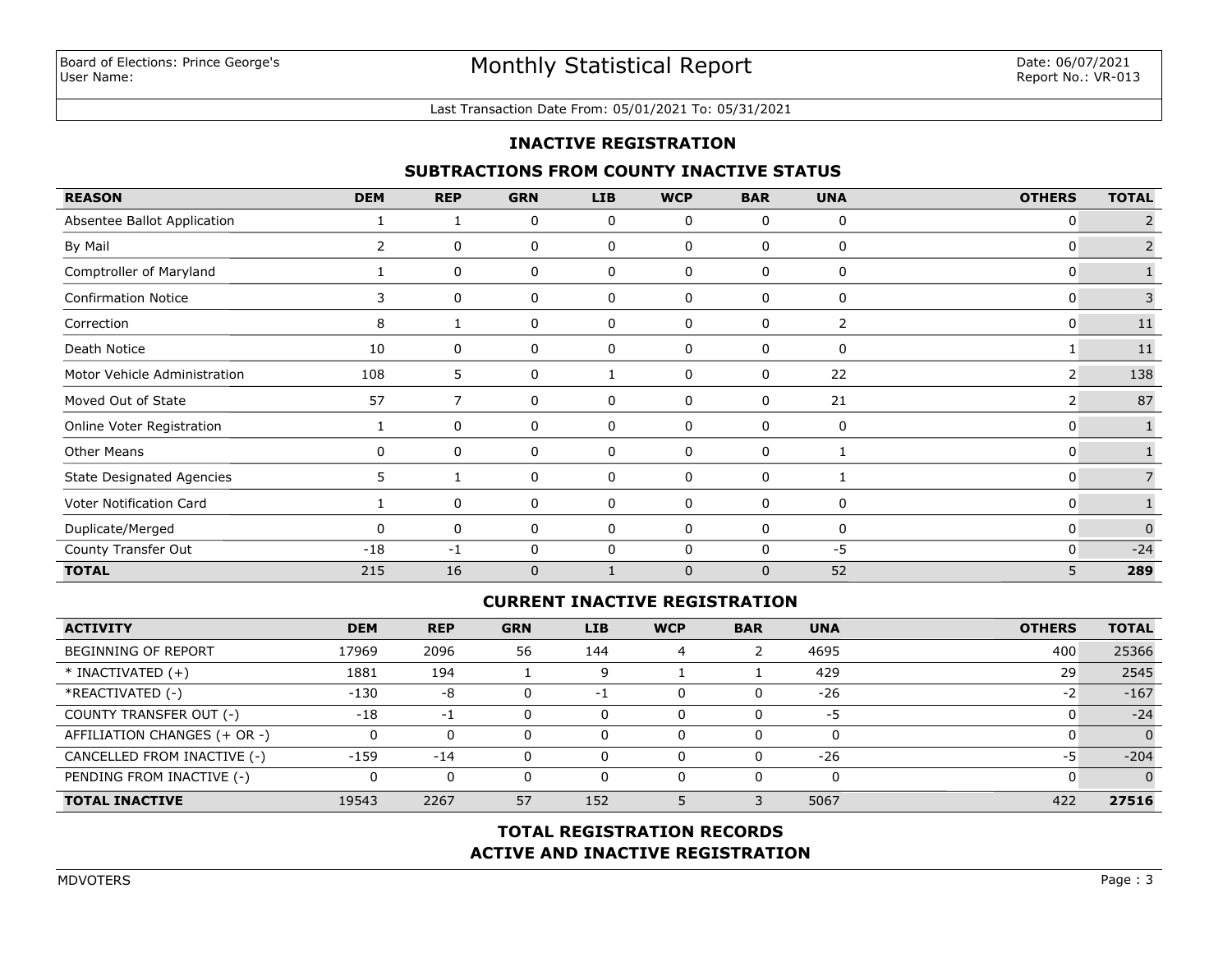#### Last Transaction Date From: 05/01/2021 To: 05/31/2021

## **INACTIVE REGISTRATION**

## **SUBTRACTIONS FROM COUNTY INACTIVE STATUS**

| <b>REASON</b>                    | <b>DEM</b>     | <b>REP</b>     | <b>GRN</b>   | <b>LIB</b>  | <b>WCP</b> | <b>BAR</b> | <b>UNA</b> | <b>OTHERS</b> | <b>TOTAL</b>   |
|----------------------------------|----------------|----------------|--------------|-------------|------------|------------|------------|---------------|----------------|
| Absentee Ballot Application      |                |                | 0            | 0           | 0          | 0          | 0          | 0             |                |
| By Mail                          | $\overline{2}$ | 0              | 0            | 0           | 0          | 0          | 0          | 0             |                |
| Comptroller of Maryland          |                | 0              | 0            | 0           | 0          | 0          | 0          | 0             |                |
| <b>Confirmation Notice</b>       | 3              | 0              | 0            | 0           | 0          | 0          | 0          | 0             | $\overline{3}$ |
| Correction                       | 8              |                | 0            | 0           | 0          | 0          | 2          | 0             | 11             |
| Death Notice                     | 10             | 0              | 0            | 0           | 0          | 0          | 0          |               | $11\,$         |
| Motor Vehicle Administration     | 108            | 5              | 0            |             | 0          | 0          | 22         | 2             | 138            |
| Moved Out of State               | 57             | $\overline{7}$ | 0            | 0           | 0          | 0          | 21         | 2             | 87             |
| Online Voter Registration        |                | 0              | 0            | 0           | 0          | 0          | 0          | 0             |                |
| <b>Other Means</b>               | 0              | 0              | 0            | $\mathbf 0$ | $\Omega$   | 0          |            | 0             |                |
| <b>State Designated Agencies</b> | 5.             |                | 0            | 0           | 0          | 0          |            | 0             |                |
| Voter Notification Card          |                | 0              | 0            | 0           | 0          | 0          | 0          | 0             |                |
| Duplicate/Merged                 | <sup>0</sup>   | 0              | 0            | 0           | 0          | 0          | 0          | 0             | $\Omega$       |
| County Transfer Out              | $-18$          | $-1$           | 0            | 0           | $\Omega$   | 0          | $-5$       | 0             | $-24$          |
| <b>TOTAL</b>                     | 215            | 16             | $\mathbf{0}$ |             | $\Omega$   | $\Omega$   | 52         | 5             | 289            |

## **CURRENT INACTIVE REGISTRATION**

| <b>ACTIVITY</b>              | <b>DEM</b> | <b>REP</b> | <b>GRN</b> | <b>LIB</b> | <b>WCP</b> | <b>BAR</b> | <b>UNA</b> | <b>OTHERS</b> | <b>TOTAL</b> |
|------------------------------|------------|------------|------------|------------|------------|------------|------------|---------------|--------------|
| <b>BEGINNING OF REPORT</b>   | 17969      | 2096       | 56         | 144        | 4          |            | 4695       | 400           | 25366        |
| $*$ INACTIVATED $(+)$        | 1881       | 194        |            |            |            |            | 429        | 29            | 2545         |
| *REACTIVATED (-)             | $-130$     | -8         |            | -1         | O          |            | $-26$      | $-2$          | $-167$       |
| COUNTY TRANSFER OUT (-)      | $-18$      | $-1$       |            | 0          | $\Omega$   |            | -5         |               | $-24$        |
| AFFILIATION CHANGES (+ OR -) |            |            |            | 0          | $\Omega$   |            |            |               | $\Omega$     |
| CANCELLED FROM INACTIVE (-)  | $-159$     | $-14$      |            | 0          | $\Omega$   |            | $-26$      | -5            | $-204$       |
| PENDING FROM INACTIVE (-)    |            |            |            |            | $\Omega$   |            |            |               | $\Omega$     |
| <b>TOTAL INACTIVE</b>        | 19543      | 2267       | 57         | 152        |            |            | 5067       | 422           | 27516        |

# **ACTIVE AND INACTIVE REGISTRATION TOTAL REGISTRATION RECORDS**